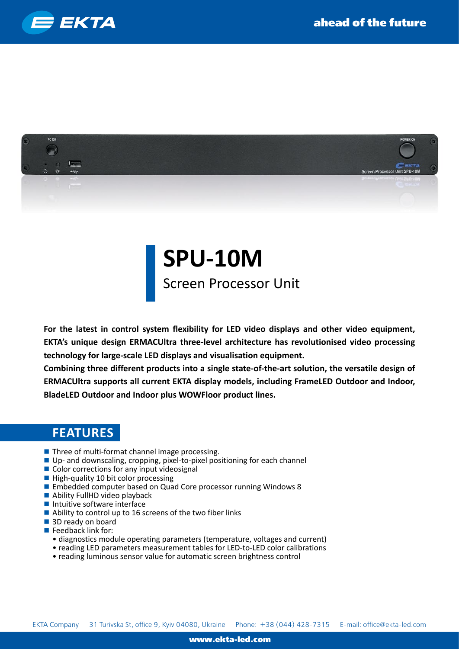



## **SPU-10M**

Screen Processor Unit

**For the latest in control system flexibility for LED video displays and other video equipment, EKTA's unique design ERMACUltra three-level architecture has revolutionised video processing technology for large-scale LED displays and visualisation equipment.**

**Combining three different products into a single state-of-the-art solution, the versatile design of ERMACUltra supports all current EKTA display models, including FrameLED Outdoor and Indoor, BladeLED Outdoor and Indoor plus WOWFloor product lines.**

## **FEATURES**

- Three of multi-format channel image processing.
- Up- and downscaling, cropping, pixel-to-pixel positioning for each channel
- Color corrections for any input videosignal
- $\blacksquare$  High-quality 10 bit color processing
- Embedded computer based on Quad Core processor running Windows 8
- Ability FullHD video playback
- $\blacksquare$  Intuitive software interface
- Ability to control up to 16 screens of the two fiber links
- 3D ready on board
- $\blacksquare$  Feedback link for:
	- diagnostics module operating parameters (temperature, voltages and current)
	- reading LED parameters measurement tables for LED-to-LED color calibrations
	- reading luminous sensor value for automatic screen brightness control